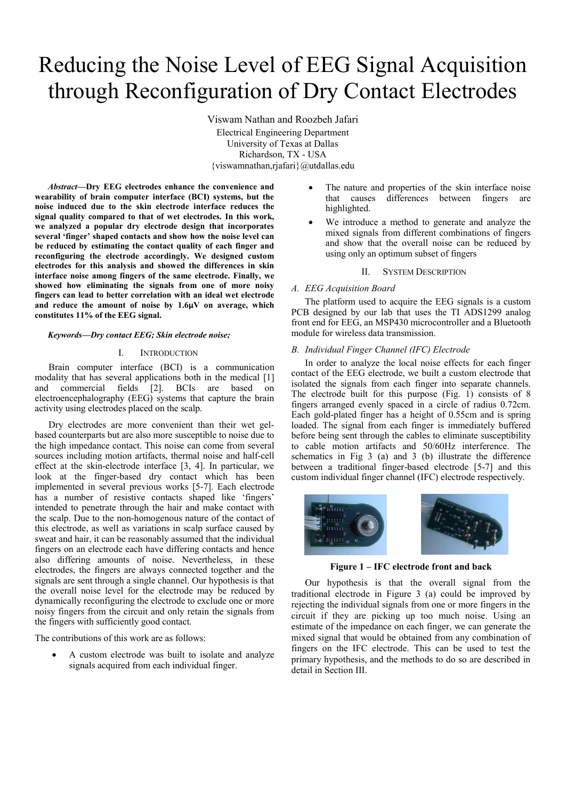# Reducing the Noise Level of EEG Signal Acquisition through Reconfiguration of Dry Contact Electrodes

Viswam Nathan and Roozbeh Jafari Electrical Engineering Department University of Texas at Dallas Richardson, TX - USA {viswamnathan,rjafari}@utdallas.edu

*Abstract***—Dry EEG electrodes enhance the convenience and wearability of brain computer interface (BCI) systems, but the noise induced due to the skin electrode interface reduces the signal quality compared to that of wet electrodes. In this work, we analyzed a popular dry electrode design that incorporates several 'finger' shaped contacts and show how the noise level can be reduced by estimating the contact quality of each finger and reconfiguring the electrode accordingly. We designed custom electrodes for this analysis and showed the differences in skin interface noise among fingers of the same electrode. Finally, we showed how eliminating the signals from one of more noisy fingers can lead to better correlation with an ideal wet electrode and reduce the amount of noise by 1.6μV on average, which constitutes 11% of the EEG signal.**

#### *Keywords—Dry contact EEG; Skin electrode noise;*

## I. INTRODUCTION

Brain computer interface (BCI) is a communication modality that has several applications both in the medical [1] and commercial fields [2]. BCIs are based on electroencephalography (EEG) systems that capture the brain activity using electrodes placed on the scalp.

Dry electrodes are more convenient than their wet gelbased counterparts but are also more susceptible to noise due to the high impedance contact. This noise can come from several sources including motion artifacts, thermal noise and half-cell effect at the skin-electrode interface [3, 4]. In particular, we look at the finger-based dry contact which has been implemented in several previous works [5-7]. Each electrode has a number of resistive contacts shaped like 'fingers' intended to penetrate through the hair and make contact with the scalp. Due to the non-homogenous nature of the contact of this electrode, as well as variations in scalp surface caused by sweat and hair, it can be reasonably assumed that the individual fingers on an electrode each have differing contacts and hence also differing amounts of noise. Nevertheless, in these electrodes, the fingers are always connected together and the signals are sent through a single channel. Our hypothesis is that the overall noise level for the electrode may be reduced by dynamically reconfiguring the electrode to exclude one or more noisy fingers from the circuit and only retain the signals from the fingers with sufficiently good contact.

The contributions of this work are as follows:

 A custom electrode was built to isolate and analyze signals acquired from each individual finger.

- The nature and properties of the skin interface noise that causes differences between fingers are highlighted.
- We introduce a method to generate and analyze the mixed signals from different combinations of fingers and show that the overall noise can be reduced by using only an optimum subset of fingers

#### II. SYSTEM DESCRIPTION

# *A. EEG Acquisition Board*

The platform used to acquire the EEG signals is a custom PCB designed by our lab that uses the TI ADS1299 analog front end for EEG, an MSP430 microcontroller and a Bluetooth module for wireless data transmission.

# *B. Individual Finger Channel (IFC) Electrode*

In order to analyze the local noise effects for each finger contact of the EEG electrode, we built a custom electrode that isolated the signals from each finger into separate channels. The electrode built for this purpose (Fig. 1) consists of 8 fingers arranged evenly spaced in a circle of radius 0.72cm. Each gold-plated finger has a height of 0.55cm and is spring loaded. The signal from each finger is immediately buffered before being sent through the cables to eliminate susceptibility to cable motion artifacts and 50/60Hz interference. The schematics in Fig 3 (a) and 3 (b) illustrate the difference between a traditional finger-based electrode [5-7] and this custom individual finger channel (IFC) electrode respectively.



**Figure 1 – IFC electrode front and back**

Our hypothesis is that the overall signal from the traditional electrode in Figure 3 (a) could be improved by rejecting the individual signals from one or more fingers in the circuit if they are picking up too much noise. Using an estimate of the impedance on each finger, we can generate the mixed signal that would be obtained from any combination of fingers on the IFC electrode. This can be used to test the primary hypothesis, and the methods to do so are described in detail in Section III.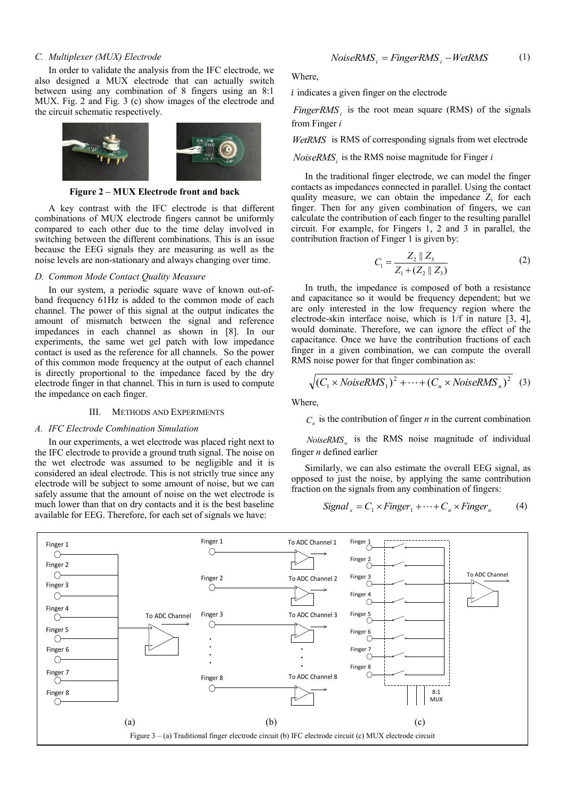# *C. Multiplexer (MUX) Electrode*

In order to validate the analysis from the IFC electrode, we also designed a MUX electrode that can actually switch between using any combination of 8 fingers using an 8:1 MUX. Fig. 2 and Fig. 3 (c) show images of the electrode and the circuit schematic respectively.



**Figure 2 – MUX Electrode front and back**

A key contrast with the IFC electrode is that different combinations of MUX electrode fingers cannot be uniformly compared to each other due to the time delay involved in switching between the different combinations. This is an issue because the EEG signals they are measuring as well as the noise levels are non-stationary and always changing over time.

# *D. Common Mode Contact Quality Measure*

In our system, a periodic square wave of known out-ofband frequency 61Hz is added to the common mode of each channel. The power of this signal at the output indicates the amount of mismatch between the signal and reference impedances in each channel as shown in [8]. In our experiments, the same wet gel patch with low impedance contact is used as the reference for all channels. So the power of this common mode frequency at the output of each channel is directly proportional to the impedance faced by the dry electrode finger in that channel. This in turn is used to compute the impedance on each finger.

# III. METHODS AND EXPERIMENTS

#### *A. IFC Electrode Combination Simulation*

In our experiments, a wet electrode was placed right next to the IFC electrode to provide a ground truth signal. The noise on the wet electrode was assumed to be negligible and it is considered an ideal electrode. This is not strictly true since any electrode will be subject to some amount of noise, but we can safely assume that the amount of noise on the wet electrode is much lower than that on dry contacts and it is the best baseline available for EEG. Therefore, for each set of signals we have:

Where,

 $i$  indicates a given finger on the electrode

*FingerRMS*<sup>*i*</sup> is the root mean square (RMS) of the signals from Finger *i*

*WetRMS* is RMS of corresponding signals from wet electrode

*NoiseRMS<sup>i</sup>* is the RMS noise magnitude for Finger *i*

In the traditional finger electrode, we can model the finger contacts as impedances connected in parallel. Using the contact quality measure, we can obtain the impedance  $Z_i$  for each finger. Then for any given combination of fingers, we can calculate the contribution of each finger to the resulting parallel circuit. For example, for Fingers 1, 2 and 3 in parallel, the contribution fraction of Finger 1 is given by:

$$
C_1 = \frac{Z_2 \parallel Z_3}{Z_1 + (Z_2 \parallel Z_3)}
$$
 (2)

In truth, the impedance is composed of both a resistance and capacitance so it would be frequency dependent; but we are only interested in the low frequency region where the electrode-skin interface noise, which is 1/f in nature [3, 4], would dominate. Therefore, we can ignore the effect of the capacitance. Once we have the contribution fractions of each finger in a given combination, we can compute the overall RMS noise power for that finger combination as:

$$
\sqrt{(C_1 \times NoiseRMS_1)^2 + \dots + (C_n \times NoiseRMS_n)^2}
$$
 (3)

Where,

 $C<sub>n</sub>$  is the contribution of finger *n* in the current combination

*NoiseRMS<sup>n</sup>* is the RMS noise magnitude of individual finger *n* defined earlier

Similarly, we can also estimate the overall EEG signal, as opposed to just the noise, by applying the same contribution fraction on the signals from any combination of fingers:

$$
Signal_x = C_1 \times Finger_1 + \dots + C_n \times Finger_n \tag{4}
$$

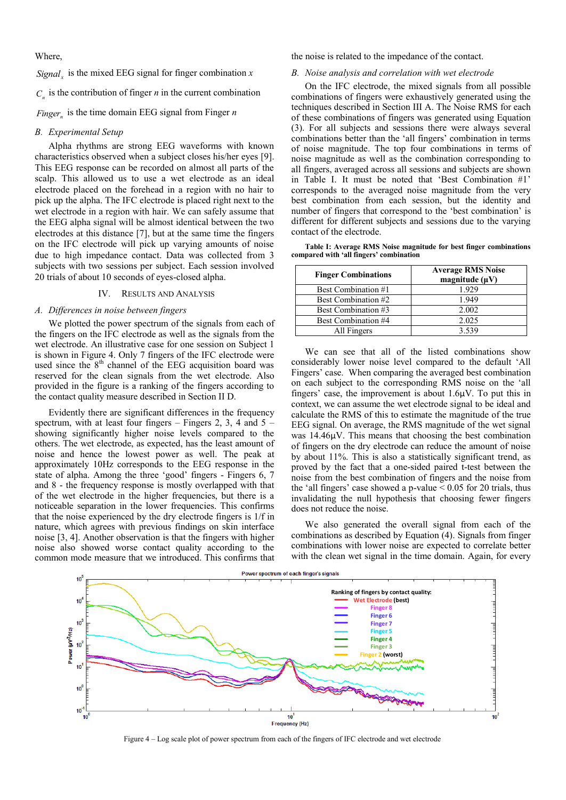Where,

 $Signal_x$  is the mixed EEG signal for finger combination *x* 

 $C<sub>n</sub>$  is the contribution of finger *n* in the current combination

*Finger<sup>n</sup>* is the time domain EEG signal from Finger *n*

# *B. Experimental Setup*

Alpha rhythms are strong EEG waveforms with known characteristics observed when a subject closes his/her eyes [9]. This EEG response can be recorded on almost all parts of the scalp. This allowed us to use a wet electrode as an ideal electrode placed on the forehead in a region with no hair to pick up the alpha. The IFC electrode is placed right next to the wet electrode in a region with hair. We can safely assume that the EEG alpha signal will be almost identical between the two electrodes at this distance [7], but at the same time the fingers on the IFC electrode will pick up varying amounts of noise due to high impedance contact. Data was collected from 3 subjects with two sessions per subject. Each session involved 20 trials of about 10 seconds of eyes-closed alpha.

# IV. RESULTS AND ANALYSIS

## *A. Differences in noise between fingers*

We plotted the power spectrum of the signals from each of the fingers on the IFC electrode as well as the signals from the wet electrode. An illustrative case for one session on Subject 1 is shown in Figure 4. Only 7 fingers of the IFC electrode were used since the  $8<sup>th</sup>$  channel of the EEG acquisition board was reserved for the clean signals from the wet electrode. Also provided in the figure is a ranking of the fingers according to the contact quality measure described in Section II D.

Evidently there are significant differences in the frequency spectrum, with at least four fingers – Fingers 2, 3, 4 and  $5$ showing significantly higher noise levels compared to the others. The wet electrode, as expected, has the least amount of noise and hence the lowest power as well. The peak at approximately 10Hz corresponds to the EEG response in the state of alpha. Among the three 'good' fingers - Fingers 6, 7 and 8 - the frequency response is mostly overlapped with that of the wet electrode in the higher frequencies, but there is a noticeable separation in the lower frequencies. This confirms that the noise experienced by the dry electrode fingers is 1/f in nature, which agrees with previous findings on skin interface noise [3, 4]. Another observation is that the fingers with higher noise also showed worse contact quality according to the common mode measure that we introduced. This confirms that

the noise is related to the impedance of the contact.

## *B. Noise analysis and correlation with wet electrode*

On the IFC electrode, the mixed signals from all possible combinations of fingers were exhaustively generated using the techniques described in Section III A. The Noise RMS for each of these combinations of fingers was generated using Equation (3). For all subjects and sessions there were always several combinations better than the 'all fingers' combination in terms of noise magnitude. The top four combinations in terms of noise magnitude as well as the combination corresponding to all fingers, averaged across all sessions and subjects are shown in Table I. It must be noted that 'Best Combination #1' corresponds to the averaged noise magnitude from the very best combination from each session, but the identity and number of fingers that correspond to the 'best combination' is different for different subjects and sessions due to the varying contact of the electrode.

**Table I: Average RMS Noise magnitude for best finger combinations compared with 'all fingers' combination**

| <b>Finger Combinations</b> | <b>Average RMS Noise</b><br>magnitude $(\mu V)$ |  |
|----------------------------|-------------------------------------------------|--|
| Best Combination #1        | 1.929                                           |  |
| Best Combination #2        | 1.949                                           |  |
| Best Combination #3        | 2.002                                           |  |
| Best Combination #4        | 2.025                                           |  |
| All Fingers                | 3.539                                           |  |

We can see that all of the listed combinations show considerably lower noise level compared to the default 'All Fingers' case. When comparing the averaged best combination on each subject to the corresponding RMS noise on the 'all fingers' case, the improvement is about 1.6μV. To put this in context, we can assume the wet electrode signal to be ideal and calculate the RMS of this to estimate the magnitude of the true EEG signal. On average, the RMS magnitude of the wet signal was 14.46μV. This means that choosing the best combination of fingers on the dry electrode can reduce the amount of noise by about 11%. This is also a statistically significant trend, as proved by the fact that a one-sided paired t-test between the noise from the best combination of fingers and the noise from the 'all fingers' case showed a p-value  $\leq 0.05$  for 20 trials, thus invalidating the null hypothesis that choosing fewer fingers does not reduce the noise.

We also generated the overall signal from each of the combinations as described by Equation (4). Signals from finger combinations with lower noise are expected to correlate better with the clean wet signal in the time domain. Again, for every



Figure 4 – Log scale plot of power spectrum from each of the fingers of IFC electrode and wet electrode